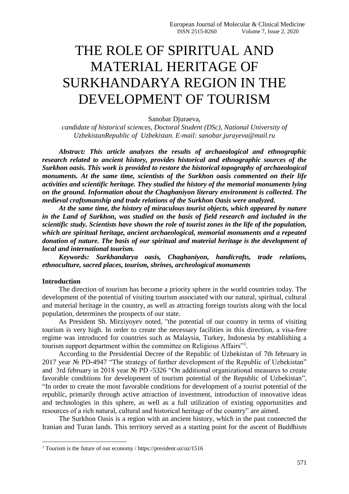# THE ROLE OF SPIRITUAL AND MATERIAL HERITAGE OF SURKHANDARYA REGION IN THE DEVELOPMENT OF TOURISM

Sanobar Djuraeva,

*candidate of historical sciences, Doctoral Student (DSc), National University of UzbekistanRepublic of Uzbekistan. E-mail: sanobar.jurayeva@mail.ru*

*Abstract: This article analyzes the results of archaeological and ethnographic research related to ancient history, provides historical and ethnographic sources of the Surkhon oasis. This work is provided to restore the historical topography of archaeological monuments. At the same time, scientists of the Surkhon oasis commented on their life activities and scientific heritage. They studied the history of the memorial monuments lying on the ground. Information about the Chaghaniyon literary environment is collected. The medieval craftsmanship and trade relations of the Surkhon Oasis were analyzed.*

*At the same time, the history of miraculous tourist objects, which appeared by nature in the Land of Surkhon, was studied on the basis of field research and included in the scientific study. Scientists have shown the role of tourist zones in the life of the population, which are spiritual heritage, ancient archaeological, memorial monuments and a repeated donation of nature. The basis of our spiritual and material heritage is the development of local and international tourism.*

*Keywords: Surkhandarya oasis, Chaghaniyon, handicrafts, trade relations, ethnoculture, sacred places, tourism, shrines, archeological monuments*

### **Introduction**

**.** 

The direction of tourism has become a priority sphere in the world countries today. The development of the potential of visiting tourism associated with our natural, spiritual, cultural and material heritage in the country, as well as attracting foreign tourists along with the local population, determines the prospects of our state.

As President Sh. Mirziyoyev noted, "the potential of our country in terms of visiting tourism is very high. In order to create the necessary facilities in this direction, a visa-free regime was introduced for countries such as Malaysia, Turkey, Indonesia by establishing a tourism support department within the committee on Religious Affairs"<sup>1</sup>.

According to the Presidential Decree of the Republic of Uzbekistan of 7th february in 2017 year № PD-4947 "The strategy of further development of the Republic of Uzbekistan" and 3rd february in 2018 year № PD -5326 "Оn additional organizational measures to create favorable conditions for development of tourism potential of the Republic of Uzbekistan", "In order to create the most favorable conditions for development of a tourist potential of the republic, primarily through active attraction of investment, introduction of innovative ideas and technologies in this sphere, as well as a full utilization of existing opportunities and resources of a rich natural, cultural and historical heritage of the country" are aimed.

The Surkhon Oasis is a region with an ancient history, which in the past connected the Iranian and Turan lands. This territory served as a starting point for the ascent of Buddhism

<sup>&</sup>lt;sup>1</sup> Tourism is the future of our economy / https://president.uz/uz/1516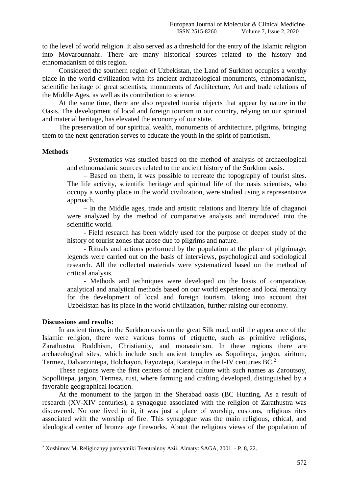to the level of world religion. It also served as a threshold for the entry of the Islamic religion into Movarounnahr. There are many historical sources related to the history and ethnomadanism of this region.

Considered the southern region of Uzbekistan, the Land of Surkhon occupies a worthy place in the world civilization with its ancient archaeological monuments, ethnomadanism, scientific heritage of great scientists, monuments of Architecture, Art and trade relations of the Middle Ages, as well as its contribution to science.

At the same time, there are also repeated tourist objects that appear by nature in the Oasis. The development of local and foreign tourism in our country, relying on our spiritual and material heritage, has elevated the economy of our state.

The preservation of our spiritual wealth, monuments of architecture, pilgrims, bringing them to the next generation serves to educate the youth in the spirit of patriotism.

#### **Methods**

- Systematics was studied based on the method of analysis of archaeological and ethnomadanic sources related to the ancient history of the Surkhon oasis.

– Based on them, it was possible to recreate the topography of tourist sites. The life activity, scientific heritage and spiritual life of the oasis scientists, who occupy a worthy place in the world civilization, were studied using a representative approach.

– In the Middle ages, trade and artistic relations and literary life of chaganoi were analyzed by the method of comparative analysis and introduced into the scientific world.

- Field research has been widely used for the purpose of deeper study of the history of tourist zones that arose due to pilgrims and nature.

- Rituals and actions performed by the population at the place of pilgrimage, legends were carried out on the basis of interviews, psychological and sociological research. All the collected materials were systematized based on the method of critical analysis.

- Methods and techniques were developed on the basis of comparative, analytical and analytical methods based on our world experience and local mentality for the development of local and foreign tourism, taking into account that Uzbekistan has its place in the world civilization, further raising our economy.

#### **Discussions and results:**

**.** 

In ancient times, in the Surkhon oasis on the great Silk road, until the appearance of the Islamic religion, there were various forms of etiquette, such as primitive religions, Zarathustra, Buddhism, Christianity, and monasticism. In these regions there are archaeological sites, which include such ancient temples as Sopolitepa, jargon, airitom, Termez, Dalvarzintepa, Holchayon, Fayoztepa, Karatepa in the I-IV centuries BC.<sup>2</sup>

These regions were the first centers of ancient culture with such names as Zaroutsoy, Sopollitepa, jargon, Termez, rust, where farming and crafting developed, distinguished by a favorable geographical location.

At the monument to the jargon in the Sherabad oasis (BC Hunting. As a result of research (XV-XIV centuries), a synagogue associated with the religion of Zarathustra was discovered. No one lived in it, it was just a place of worship, customs, religious rites associated with the worship of fire. This synagogue was the main religious, ethical, and ideological center of bronze age fireworks. About the religious views of the population of

<sup>2</sup> Xoshimov M. Religioznyy pamyatniki Tsentralnoy Azii. Almaty: SAGA, 2001. - P. 8, 22.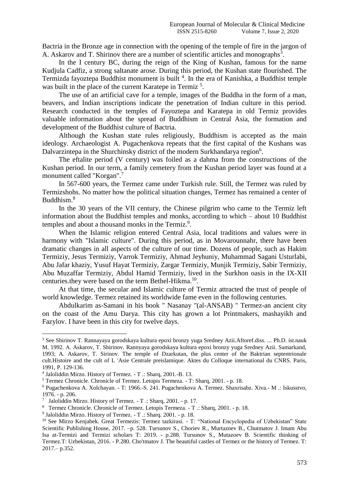Bactria in the Bronze age in connection with the opening of the temple of fire in the jargon of A. Askarov and T. Shirinov there are a number of scientific articles and monographs<sup>3</sup>.

In the I century BC, during the reign of the King of Kushan, famous for the name Kudjula Cadfiz, a strong saltanate arose. During this period, the Kushan state flourished. The Termizda fayoztepa Buddhist monument is built<sup>4</sup>. In the era of Kanishka, a Buddhist temple was built in the place of the current Karatepe in Termiz<sup>5</sup>.

The use of an artificial cave for a temple, images of the Buddha in the form of a man, beavers, and Indian inscriptions indicate the penetration of Indian culture in this period. Research conducted in the temples of Fayoztepa and Karatepa in old Termiz provides valuable information about the spread of Buddhism in Central Asia, the formation and development of the Buddhist culture of Bactria.

Although the Kushan state rules religiously, Buddhism is accepted as the main ideology. Archaeologist A. Pugachenkova repeats that the first capital of the Kushans was Dalvarzintepa in the Shurchinsky district of the modern Surkhandarya region<sup>6</sup>.

The eftalite period (V century) was foiled as a dahma from the constructions of the Kushan period. In our term, a family cemetery from the Kushan period layer was found at a monument called "Korgan".<sup>7</sup>

In 567-600 years, the Termez came under Turkish rule. Still, the Termez was ruled by Termizshohs. No matter how the political situation changes, Termez has remained a center of Buddhism. 8

In the 30 years of the VII century, the Chinese pilgrim who came to the Termiz left information about the Buddhist temples and monks, according to which – about 10 Buddhist temples and about a thousand monks in the Termiz.<sup>9</sup>.

When the Islamic religion entered Central Asia, local traditions and values were in harmony with "Islamic culture". During this period, as in Movarounnahr, there have been dramatic changes in all aspects of the culture of our time. Dozens of people, such as Hakim Termiziy, Jesus Termiziy, Varrok Termiziy, Ahmad Jeyhuniy, Muhammad Sagani Usturlabi, Abu Jafar khaziy, Yusuf Hayat Termiziy, Zargar Termiziy, Munjik Termiziy, Sabir Termiziy, Abu Muzaffar Termiziy, Abdul Hamid Termiziy, lived in the Surkhon oasis in the IX-XII centuries.they were based on the term Bethel-Hikma.<sup>10</sup>.

At that time, the secular and Islamic culture of Termiz attracted the trust of people of world knowledge. Termez retained its worldwide fame even in the following centuries.

Abdulkarim as-Samani in his book " Nasanay "(al-ANSAB) " Termez-an ancient city on the coast of the Amu Darya. This city has grown a lot Printmakers, mashayikh and Fazylov. I have been in this city for twelve days.

**.** 

<sup>3</sup> See Shirinov T. Rannayaya gorodskaya kultura epoxi bronzy yuga Sredney Azii.Aftoref.diss. ... Ph.D. ist.nauk M. 1992. А. Askarov, T. Shirinov. Rannyaya gorodskaya kultura epoxi bronzy yuga Sredney Azii. Samarkand, 1993; A. Askarov, T. Sirinov. The temple of Dzarkutan, the plus center of the Baktrian septentrionale cult.Histoire and the cult of L 'Asie Centrale preislamique. Aktes du Colloque international du CNRS. Paris, 1991, P. 129-136.

<sup>4</sup> Jaloliddin Mirzo. History of Termez. - T .: Sharq, 2001.-B. 13.

<sup>5</sup> Termez Chronicle. Chronicle of Termez. Letopis Termeza. - T: Sharq, 2001. - p. 18.

<sup>6</sup> Pugachenkova A. Xolchayan. - T: 1966.-S. 241. Pugachenkova A. Termez. Shaxrisabz. Xiva.- M .: Iskusstvo, 1976. - p. 206.

<sup>&</sup>lt;sup>7</sup> Jaloliddin Mirzo. History of Termez. - T .: Sharq, 2001. - p. 17.

<sup>8</sup> Termez Chronicle. Chronicle of Termez. Letopis Termeza. - T .: Sharq, 2001. - p. 18.

<sup>&</sup>lt;sup>9</sup> Jaloliddin Mirzo. History of Termez. - T .: Sharq. 2001. - p. 18.

<sup>&</sup>lt;sup>10</sup> See Mirzo Kenjabek. Great Termezis: Termez tazkirasi. - T: "National Encyclopedia of Uzbekistan" State Scientific Publishing House, 2017. –p. 528. Tursunov S., Choriev R., Murtazoev B., Chutmatov J. Imam Abu Isa at-Termizi and Termizi scholars T: 2019. - p.288. Tursunov S., Mutazoev B. Scientific thinking of Termez.T: Uzbekistan, 2016. - P.280. Cho'tmatov J. The beautiful castles of Termez or the history of Termez. T: 2017.– p.352.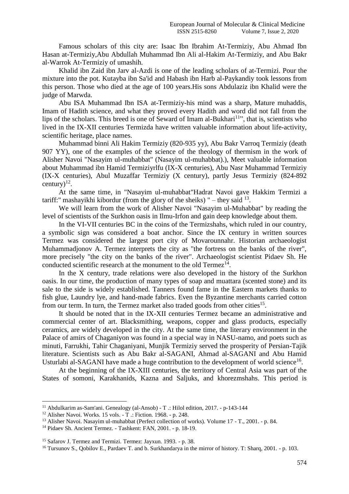Famous scholars of this city are: Isaac Ibn Ibrahim At-Termiziy, Abu Ahmad Ibn Hasan at-Termiziy,Abu Abdullah Muhammad Ibn Ali al-Hakim At-Termiziy, and Abu Bakr al-Warrok At-Termiziy of umashih.

Khalid ibn Zaid ibn Jarv al-Azdi is one of the leading scholars of at-Termizi. Pour the mixture into the pot. Kutayba ibn Sa'id and Habash ibn Harb al-Paykandiy took lessons from this person. Those who died at the age of 100 years.His sons Abdulaziz ibn Khalid were the judge of Marwda.

Abu ISA Muhammad Ibn ISA at-Termiziy-his mind was a sharp, Mature muhaddis, Imam of Hadith science, and what they proved every Hadith and word did not fall from the lips of the scholars. This breed is one of Seward of Imam al-Bukhari<sup>11</sup>", that is, scientists who lived in the IX-XII centuries Termizda have written valuable information about life-activity, scientific heritage, place names.

Muhammad binni Ali Hakim Termiziy (820-935 yy), Abu Bakr Varroq Termiziy (death 907 YY), one of the examples of the science of the theology of thermism in the work of Alisher Navoi "Nasayim ul-muhabbat" (Nasayim ul-muhabbat).), Meet valuable information about Muhammad ibn Hamid Termiziyrlfu (IX-X centuries), Abu Nasr Muhammad Termiziy (IX-X centuries), Abul Muzaffar Termiziy (X century), partly Jesus Termiziy (824-892 century) $^{12}$ .

At the same time, in "Nasayim ul-muhabbat"Hadrat Navoi gave Hakkim Termizi a tariff:" mashayikhi kibordur (from the glory of the sheiks) " – they said  $^{13}$ .

We will learn from the work of Alisher Navoi "Nasayim ul-Muhabbat" by reading the level of scientists of the Surkhon oasis in Ilmu-Irfon and gain deep knowledge about them.

In the VI-VII centuries BC in the coins of the Termizshahs, which ruled in our country, a symbolic sign was considered a boat anchor. Since the IX century in written sources Termez was considered the largest port city of Movarounnahr. Historian archaeologist Muhammadjonov A. Termez interprets the city as "the fortress on the banks of the river", more precisely "the city on the banks of the river". Archaeologist scientist Pidaev Sh. He conducted scientific research at the monument to the old  $Termz^{14}$ .

In the X century, trade relations were also developed in the history of the Surkhon oasis. In our time, the production of many types of soap and muattara (scented stone) and its sale to the side is widely established. Tanners found fame in the Eastern markets thanks to fish glue, Laundry lye, and hand-made fabrics. Even the Byzantine merchants carried cotton from our term. In turn, the Termez market also traded goods from other cities<sup>15</sup>.

It should be noted that in the IX-XII centuries Termez became an administrative and commercial center of art. Blacksmithing, weapons, copper and glass products, especially ceramics, are widely developed in the city. At the same time, the literary environment in the Palace of amirs of Chaganiyon was found in a special way in NASU-namo, and poets such as minuti, Farrukhi, Tahir Chaganiyani, Munjik Termiziy served the prosperity of Persian-Tajik literature. Scientists such as Abu Bakr al-SAGANI, Ahmad al-SAGANI and Abu Hamid Usturlabi al-SAGANI have made a huge contribution to the development of world science<sup>16</sup>.

At the beginning of the IX-XIII centuries, the territory of Central Asia was part of the States of somoni, Karakhanids, Kazna and Saljuks, and khorezmshahs. This period is

**.** 

<sup>11</sup> Abdulkarim as-Sam'ani. Genealogy (al-Ansob) - T .: Hilol edition, 2017. - p-143-144

<sup>&</sup>lt;sup>12</sup> Alisher Navoi. Works. 15 vols.  $\cdot$  T .: Fiction. 1968. - p. 248.

<sup>&</sup>lt;sup>13</sup> Alisher Navoi. Nasayim ul-muhabbat (Perfect collection of works). Volume 17 - T., 2001. - p. 84.

<sup>14</sup> Pidaev Sh. Ancient Termez. - Tashkent: FAN, 2001. - p. 18-19.

<sup>15</sup> Safarov J. Termez and Termizi. Termez: Jayxun. 1993. - p. 38.

<sup>&</sup>lt;sup>16</sup> Tursunov S., Qobilov E., Pardaev T. and b. Surkhandarya in the mirror of history. T: Sharq, 2001. - p. 103.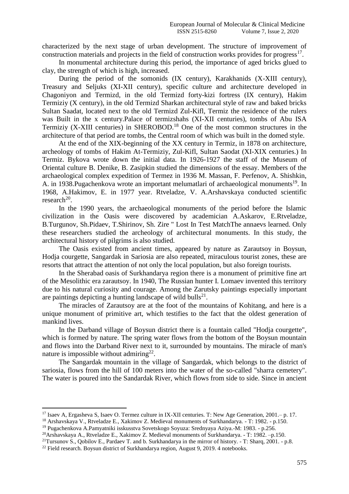characterized by the next stage of urban development. The structure of improvement of construction materials and projects in the field of construction works provides for progress $17$ .

In monumental architecture during this period, the importance of aged bricks glued to clay, the strength of which is high, increased.

During the period of the somonids (IX century), Karakhanids (X-XIII century), Treasury and Seljuks (XI-XII century), specific culture and architecture developed in Chagoniyon and Termizd, in the old Termizd forty-kizi fortress (IX century), Hakim Termiziy (X century), in the old Termizd Sharkan architectural style of raw and baked bricks Sultan Saadat, located next to the old Termizd Zul-Kifl, Termiz the residence of the rulers was Built in the x century.Palace of termizshahs (XI-XII centuries), tombs of Abu ISA Termiziy  $(X-XIII)$  centuries) in SHEROBOD.<sup>18</sup> One of the most common structures in the architecture of that period are tombs, the Central room of which was built in the domed style.

At the end of the XIX-beginning of the XX century in Termiz, in 1878 on architecture, archeology of tombs of Hakim At-Termiziy, Zul-Kifl, Sultan Saodat (XI-XIX centuries.) In Termiz. Bykova wrote down the initial data. In 1926-1927 the staff of the Museum of Oriental culture B. Denike, B. Zasipkin studied the dimensions of the essay. Members of the archaeological complex expedition of Termez in 1936 M. Massan, F. Perfenov, A. Shishkin, A. in 1938. Pugachenkova wrote an important melumatlari of archaeological monuments<sup>19</sup>. In 1968, A.Hakimov, E. in 1977 year. Rtveladze, V. A.Arshavskaya conducted scientific  $research<sup>20</sup>$ .

In the 1990 years, the archaeological monuments of the period before the Islamic civilization in the Oasis were discovered by academician A.Askarov, E.Rtveladze, B.Turgunov, Sh.Pidaev, T.Shirinov, Sh. Zire " Lost In Test MatchThe annaevs learned. Only these researchers studied the archeology of architectural monuments. In this study, the architectural history of pilgrims is also studied.

The Oasis existed from ancient times, appeared by nature as Zarautsoy in Boysun, Hodja courgette, Sangardak in Sariosia are also repeated, miraculous tourist zones, these are resorts that attract the attention of not only the local population, but also foreign tourists.

In the Sherabad oasis of Surkhandarya region there is a monument of primitive fine art of the Mesolithic era zarautsoy. In 1940, The Russian hunter I. Lomaev invented this territory due to his natural curiosity and courage. Among the Zarutsky paintings especially important are paintings depicting a hunting landscape of wild bulls $^{21}$ .

The miracles of Zarautsoy are at the foot of the mountains of Kohitang, and here is a unique monument of primitive art, which testifies to the fact that the oldest generation of mankind lives.

In the Darband village of Boysun district there is a fountain called "Hodja courgette", which is formed by nature. The spring water flows from the bottom of the Boysun mountain and flows into the Darband River next to it, surrounded by mountains. The miracle of man's nature is impossible without admiring<sup>22</sup>.

The Sangardak mountain in the village of Sangardak, which belongs to the district of sariosia, flows from the hill of 100 meters into the water of the so-called "sharra cemetery". The water is poured into the Sandardak River, which flows from side to side. Since in ancient

1

<sup>17</sup> Isaev A, Ergasheva S, Isaev O. Termez culture in IX-XII centuries. T: New Age Generation, 2001.– p. 17.

<sup>18</sup> Arshavskaya V., Rtveladze E., Xakimov Z. Medieval monuments of Surkhandarya. - T: 1982. - p.150.

<sup>19</sup> Pugachenkova A.Pamyatniki isskusstva Sovetskogo Soyuza: Srednyaya Aziya.-M: 1983. - p.256.

<sup>20</sup>Arshavskaya A., Rtveladze E., Xakimov Z. Medieval monuments of Surkhandarya. - T: 1982. –p.150.

<sup>&</sup>lt;sup>21</sup>Tursunov S., Qobilov E., Pardaev T. and b. Surkhandarya in the mirror of history. - T: Sharq, 2001. - p.8.

<sup>&</sup>lt;sup>22</sup> Field research. Boysun district of Surkhandarya region, August 9, 2019. 4 notebooks.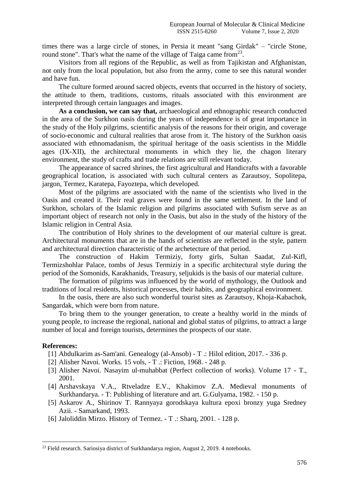times there was a large circle of stones, in Persia it meant "sang Girdak" – "circle Stone, round stone". That's what the name of the village of Taiga came from  $2^3$ .

Visitors from all regions of the Republic, as well as from Tajikistan and Afghanistan, not only from the local population, but also from the army, come to see this natural wonder and have fun.

The culture formed around sacred objects, events that occurred in the history of society, the attitude to them, traditions, customs, rituals associated with this environment are interpreted through certain languages and images.

**As a conclusion, we can say that,** archaeological and ethnographic research conducted in the area of the Surkhon oasis during the years of independence is of great importance in the study of the Holy pilgrims, scientific analysis of the reasons for their origin, and coverage of socio-economic and cultural realities that arose from it. The history of the Surkhon oasis associated with ethnomadanism, the spiritual heritage of the oasis scientists in the Middle ages (IX-XII), the architectural monuments in which they lie, the chagon literary environment, the study of crafts and trade relations are still relevant today.

The appearance of sacred shrines, the first agricultural and Handicrafts with a favorable geographical location, is associated with such cultural centers as Zarautsoy, Sopolitepa, jargon, Termez, Karatepa, Fayoztepa, which developed.

Most of the pilgrims are associated with the name of the scientists who lived in the Oasis and created it. Their real graves were found in the same settlement. In the land of Surkhon, scholars of the Islamic religion and pilgrims associated with Sufism serve as an important object of research not only in the Oasis, but also in the study of the history of the Islamic religion in Central Asia.

The contribution of Holy shrines to the development of our material culture is great. Architectural monuments that are in the hands of scientists are reflected in the style, pattern and architectural direction characteristic of the archetecture of that period.

The construction of Hakim Termiziy, forty girls, Sultan Saadat, Zul-Kifl, Termizshohlar Palace, tombs of Jesus Termiziy in a specific architectural style during the period of the Somonids, Karakhanids, Treasury, seljukids is the basis of our material culture.

The formation of pilgrims was influenced by the world of mythology, the Outlook and traditions of local residents, historical processes, their habits, and geographical environment.

In the oasis, there are also such wonderful tourist sites as Zarautsoy, Khoja-Kabachok, Sangardak, which were born from nature.

To bring them to the younger generation, to create a healthy world in the minds of young people, to increase the regional, national and global status of pilgrims, to attract a large number of local and foreign tourists, determines the prospects of our state.

## **References:**

**.** 

- [1] Abdulkarim as-Sam'ani. Genealogy (al-Ansob) T .: Hilol edition, 2017. 336 p.
- [2] Alisher Navoi. Works. 15 vols, T .: Fiction, 1968. 248 p.
- [3] Alisher Navoi. Nasayim ul-muhabbat (Perfect collection of works). Volume 17 T., 2001.
- [4] Arshavskaya V.A., Rtveladze E.V., Khakimov Z.A. Medieval monuments of Surkhandarya. - T: Publishing of literature and art. G.Gulyama, 1982. - 150 p.
- [5] Askarov A., Shirinov T. Rannyaya gorodskaya kultura epoxi bronzy yuga Sredney Azii. - Samarkand, 1993.
- [6] Jaloliddin Mirzo. History of Termez. T .: Sharq, 2001. 128 p.

<sup>23</sup> Field research. Sariosiya district of Surkhandarya region, August 2, 2019. 4 notebooks.